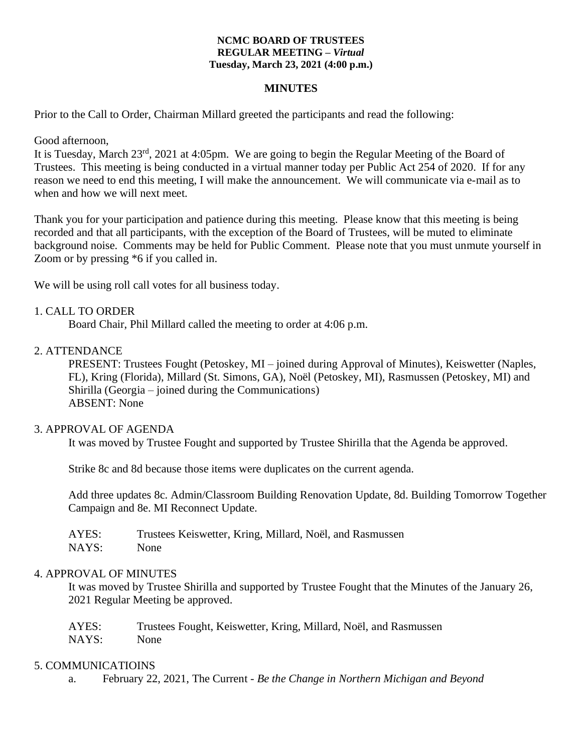#### **NCMC BOARD OF TRUSTEES REGULAR MEETING –** *Virtual* **Tuesday, March 23, 2021 (4:00 p.m.)**

#### **MINUTES**

Prior to the Call to Order, Chairman Millard greeted the participants and read the following:

Good afternoon,

It is Tuesday, March 23rd, 2021 at 4:05pm. We are going to begin the Regular Meeting of the Board of Trustees. This meeting is being conducted in a virtual manner today per Public Act 254 of 2020. If for any reason we need to end this meeting, I will make the announcement. We will communicate via e-mail as to when and how we will next meet.

Thank you for your participation and patience during this meeting. Please know that this meeting is being recorded and that all participants, with the exception of the Board of Trustees, will be muted to eliminate background noise. Comments may be held for Public Comment. Please note that you must unmute yourself in Zoom or by pressing \*6 if you called in.

We will be using roll call votes for all business today.

#### 1. CALL TO ORDER

Board Chair, Phil Millard called the meeting to order at 4:06 p.m.

#### 2. ATTENDANCE

PRESENT: Trustees Fought (Petoskey, MI – joined during Approval of Minutes), Keiswetter (Naples, FL), Kring (Florida), Millard (St. Simons, GA), Noël (Petoskey, MI), Rasmussen (Petoskey, MI) and Shirilla (Georgia – joined during the Communications) ABSENT: None

#### 3. APPROVAL OF AGENDA

It was moved by Trustee Fought and supported by Trustee Shirilla that the Agenda be approved.

Strike 8c and 8d because those items were duplicates on the current agenda.

Add three updates 8c. Admin/Classroom Building Renovation Update, 8d. Building Tomorrow Together Campaign and 8e. MI Reconnect Update.

AYES: Trustees Keiswetter, Kring, Millard, Noël, and Rasmussen NAYS: None

#### 4. APPROVAL OF MINUTES

It was moved by Trustee Shirilla and supported by Trustee Fought that the Minutes of the January 26, 2021 Regular Meeting be approved.

AYES: Trustees Fought, Keiswetter, Kring, Millard, Noël, and Rasmussen NAYS: None

#### 5. COMMUNICATIOINS

a. February 22, 2021, The Current - *Be the Change in Northern Michigan and Beyond*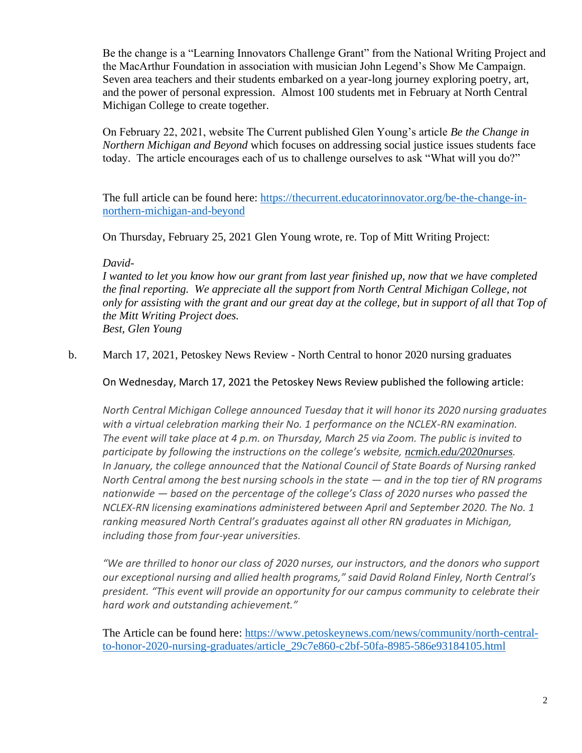Be the change is a "Learning Innovators Challenge Grant" from the National Writing Project and the MacArthur Foundation in association with musician John Legend's Show Me Campaign. Seven area teachers and their students embarked on a year-long journey exploring poetry, art, and the power of personal expression. Almost 100 students met in February at North Central Michigan College to create together.

On February 22, 2021, website The Current published Glen Young's article *Be the Change in Northern Michigan and Beyond* which focuses on addressing social justice issues students face today. The article encourages each of us to challenge ourselves to ask "What will you do?"

The full article can be found here: [https://thecurrent.educatorinnovator.org/be-the-change-in](https://thecurrent.educatorinnovator.org/be-the-change-in-northern-michigan-and-beyond)[northern-michigan-and-beyond](https://thecurrent.educatorinnovator.org/be-the-change-in-northern-michigan-and-beyond)

On Thursday, February 25, 2021 Glen Young wrote, re. Top of Mitt Writing Project:

#### *David-*

*I wanted to let you know how our grant from last year finished up, now that we have completed the final reporting. We appreciate all the support from North Central Michigan College, not only for assisting with the grant and our great day at the college, but in support of all that Top of the Mitt Writing Project does. Best, Glen Young*

b. March 17, 2021, Petoskey News Review - North Central to honor 2020 nursing graduates

On Wednesday, March 17, 2021 the Petoskey News Review published the following article:

*North Central Michigan College announced Tuesday that it will honor its 2020 nursing graduates with a virtual celebration marking their No. 1 performance on the NCLEX-RN examination. The event will take place at 4 p.m. on Thursday, March 25 via Zoom. The public is invited to participate by following the instructions on the college's website, [ncmich.edu/2020nurses](http://ncmich.edu/2020nurses). In January, the college announced that the National Council of State Boards of Nursing ranked North Central among the best nursing schools in the state — and in the top tier of RN programs nationwide — based on the percentage of the college's Class of 2020 nurses who passed the NCLEX-RN licensing examinations administered between April and September 2020. The No. 1 ranking measured North Central's graduates against all other RN graduates in Michigan, including those from four-year universities.*

*"We are thrilled to honor our class of 2020 nurses, our instructors, and the donors who support our exceptional nursing and allied health programs," said David Roland Finley, North Central's*  president. "This event will provide an opportunity for our campus community to celebrate their *hard work and outstanding achievement."*

The Article can be found here: [https://www.petoskeynews.com/news/community/north-central](https://www.petoskeynews.com/news/community/north-central-to-honor-2020-nursing-graduates/article_29c7e860-c2bf-50fa-8985-586e93184105.html)[to-honor-2020-nursing-graduates/article\\_29c7e860-c2bf-50fa-8985-586e93184105.html](https://www.petoskeynews.com/news/community/north-central-to-honor-2020-nursing-graduates/article_29c7e860-c2bf-50fa-8985-586e93184105.html)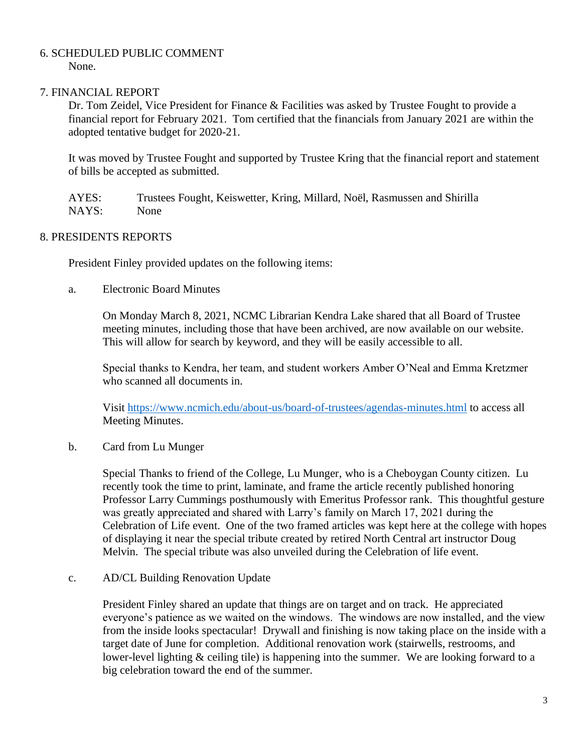# 6. SCHEDULED PUBLIC COMMENT

None.

# 7. FINANCIAL REPORT

Dr. Tom Zeidel, Vice President for Finance & Facilities was asked by Trustee Fought to provide a financial report for February 2021. Tom certified that the financials from January 2021 are within the adopted tentative budget for 2020-21.

It was moved by Trustee Fought and supported by Trustee Kring that the financial report and statement of bills be accepted as submitted.

AYES: Trustees Fought, Keiswetter, Kring, Millard, Noël, Rasmussen and Shirilla NAYS: None

## 8. PRESIDENTS REPORTS

President Finley provided updates on the following items:

a. Electronic Board Minutes

On Monday March 8, 2021, NCMC Librarian Kendra Lake shared that all Board of Trustee meeting minutes, including those that have been archived, are now available on our website. This will allow for search by keyword, and they will be easily accessible to all.

Special thanks to Kendra, her team, and student workers Amber O'Neal and Emma Kretzmer who scanned all documents in.

Visit<https://www.ncmich.edu/about-us/board-of-trustees/agendas-minutes.html> to access all Meeting Minutes.

# b. Card from Lu Munger

Special Thanks to friend of the College, Lu Munger, who is a Cheboygan County citizen. Lu recently took the time to print, laminate, and frame the article recently published honoring Professor Larry Cummings posthumously with Emeritus Professor rank. This thoughtful gesture was greatly appreciated and shared with Larry's family on March 17, 2021 during the Celebration of Life event. One of the two framed articles was kept here at the college with hopes of displaying it near the special tribute created by retired North Central art instructor Doug Melvin. The special tribute was also unveiled during the Celebration of life event.

## c. AD/CL Building Renovation Update

President Finley shared an update that things are on target and on track. He appreciated everyone's patience as we waited on the windows. The windows are now installed, and the view from the inside looks spectacular! Drywall and finishing is now taking place on the inside with a target date of June for completion. Additional renovation work (stairwells, restrooms, and lower-level lighting & ceiling tile) is happening into the summer. We are looking forward to a big celebration toward the end of the summer.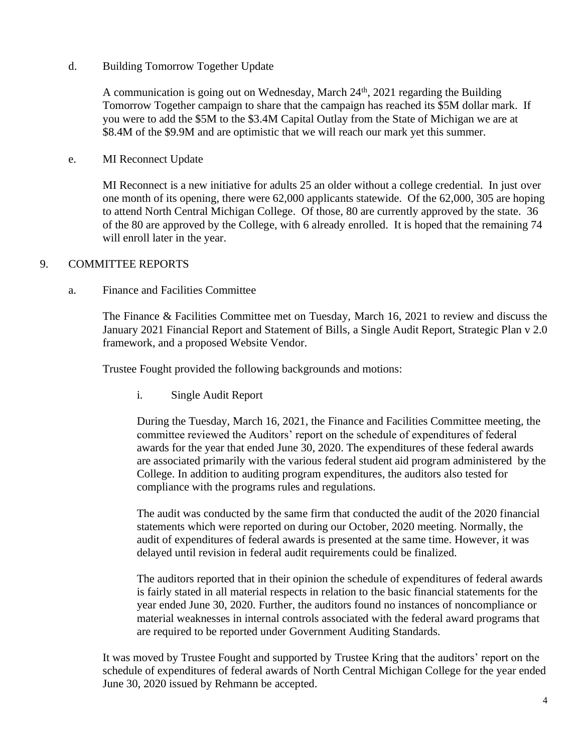### d. Building Tomorrow Together Update

A communication is going out on Wednesday, March  $24<sup>th</sup>$ ,  $2021$  regarding the Building Tomorrow Together campaign to share that the campaign has reached its \$5M dollar mark. If you were to add the \$5M to the \$3.4M Capital Outlay from the State of Michigan we are at \$8.4M of the \$9.9M and are optimistic that we will reach our mark yet this summer.

### e. MI Reconnect Update

MI Reconnect is a new initiative for adults 25 an older without a college credential. In just over one month of its opening, there were 62,000 applicants statewide. Of the 62,000, 305 are hoping to attend North Central Michigan College. Of those, 80 are currently approved by the state. 36 of the 80 are approved by the College, with 6 already enrolled. It is hoped that the remaining 74 will enroll later in the year.

### 9. COMMITTEE REPORTS

### a. Finance and Facilities Committee

The Finance & Facilities Committee met on Tuesday, March 16, 2021 to review and discuss the January 2021 Financial Report and Statement of Bills, a Single Audit Report, Strategic Plan v 2.0 framework, and a proposed Website Vendor.

Trustee Fought provided the following backgrounds and motions:

i. Single Audit Report

During the Tuesday, March 16, 2021, the Finance and Facilities Committee meeting, the committee reviewed the Auditors' report on the schedule of expenditures of federal awards for the year that ended June 30, 2020. The expenditures of these federal awards are associated primarily with the various federal student aid program administered by the College. In addition to auditing program expenditures, the auditors also tested for compliance with the programs rules and regulations.

The audit was conducted by the same firm that conducted the audit of the 2020 financial statements which were reported on during our October, 2020 meeting. Normally, the audit of expenditures of federal awards is presented at the same time. However, it was delayed until revision in federal audit requirements could be finalized.

The auditors reported that in their opinion the schedule of expenditures of federal awards is fairly stated in all material respects in relation to the basic financial statements for the year ended June 30, 2020. Further, the auditors found no instances of noncompliance or material weaknesses in internal controls associated with the federal award programs that are required to be reported under Government Auditing Standards.

It was moved by Trustee Fought and supported by Trustee Kring that the auditors' report on the schedule of expenditures of federal awards of North Central Michigan College for the year ended June 30, 2020 issued by Rehmann be accepted.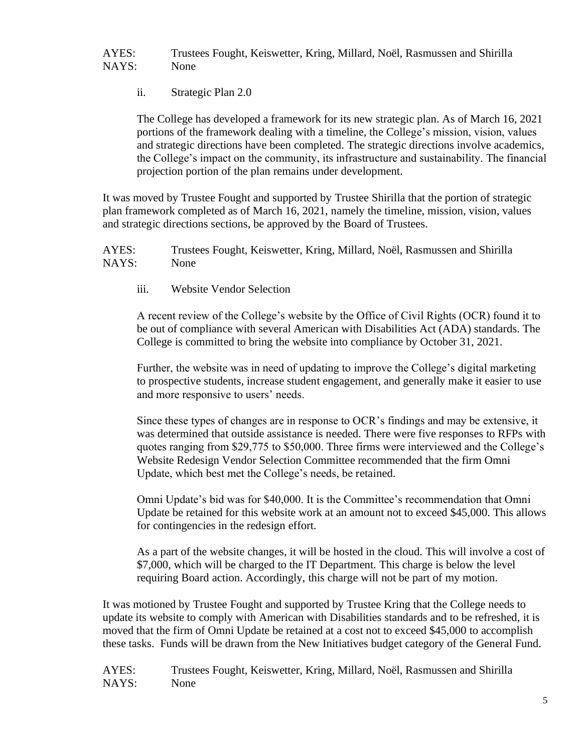### AYES: Trustees Fought, Keiswetter, Kring, Millard, Noël, Rasmussen and Shirilla NAYS: None

ii. Strategic Plan 2.0

The College has developed a framework for its new strategic plan. As of March 16, 2021 portions of the framework dealing with a timeline, the College's mission, vision, values and strategic directions have been completed. The strategic directions involve academics, the College's impact on the community, its infrastructure and sustainability. The financial projection portion of the plan remains under development.

It was moved by Trustee Fought and supported by Trustee Shirilla that the portion of strategic plan framework completed as of March 16, 2021, namely the timeline, mission, vision, values and strategic directions sections, be approved by the Board of Trustees.

AYES: Trustees Fought, Keiswetter, Kring, Millard, Noël, Rasmussen and Shirilla NAYS: None

iii. Website Vendor Selection

A recent review of the College's website by the Office of Civil Rights (OCR) found it to be out of compliance with several American with Disabilities Act (ADA) standards. The College is committed to bring the website into compliance by October 31, 2021.

Further, the website was in need of updating to improve the College's digital marketing to prospective students, increase student engagement, and generally make it easier to use and more responsive to users' needs.

Since these types of changes are in response to OCR's findings and may be extensive, it was determined that outside assistance is needed. There were five responses to RFPs with quotes ranging from \$29,775 to \$50,000. Three firms were interviewed and the College's Website Redesign Vendor Selection Committee recommended that the firm Omni Update, which best met the College's needs, be retained.

Omni Update's bid was for \$40,000. It is the Committee's recommendation that Omni Update be retained for this website work at an amount not to exceed \$45,000. This allows for contingencies in the redesign effort.

As a part of the website changes, it will be hosted in the cloud. This will involve a cost of \$7,000, which will be charged to the IT Department. This charge is below the level requiring Board action. Accordingly, this charge will not be part of my motion.

It was motioned by Trustee Fought and supported by Trustee Kring that the College needs to update its website to comply with American with Disabilities standards and to be refreshed, it is moved that the firm of Omni Update be retained at a cost not to exceed \$45,000 to accomplish these tasks. Funds will be drawn from the New Initiatives budget category of the General Fund.

AYES: Trustees Fought, Keiswetter, Kring, Millard, Noël, Rasmussen and Shirilla NAYS: None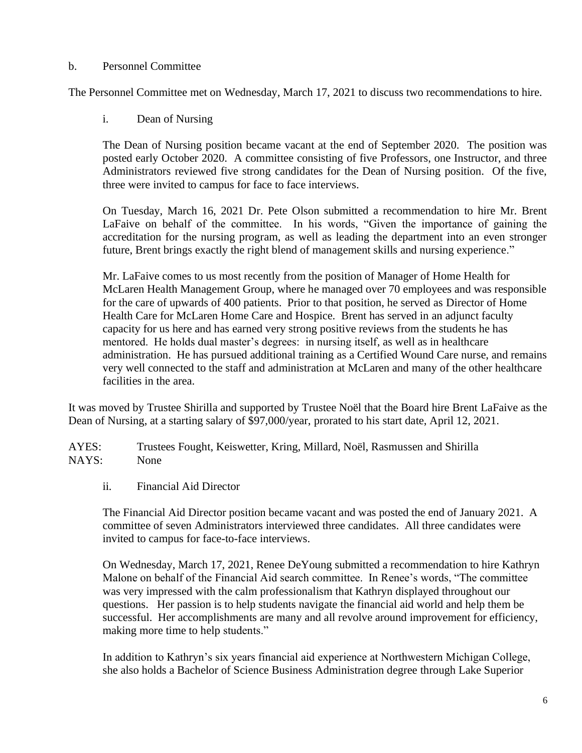#### b. Personnel Committee

The Personnel Committee met on Wednesday, March 17, 2021 to discuss two recommendations to hire.

i. Dean of Nursing

The Dean of Nursing position became vacant at the end of September 2020. The position was posted early October 2020. A committee consisting of five Professors, one Instructor, and three Administrators reviewed five strong candidates for the Dean of Nursing position. Of the five, three were invited to campus for face to face interviews.

On Tuesday, March 16, 2021 Dr. Pete Olson submitted a recommendation to hire Mr. Brent LaFaive on behalf of the committee. In his words, "Given the importance of gaining the accreditation for the nursing program, as well as leading the department into an even stronger future, Brent brings exactly the right blend of management skills and nursing experience."

Mr. LaFaive comes to us most recently from the position of Manager of Home Health for McLaren Health Management Group, where he managed over 70 employees and was responsible for the care of upwards of 400 patients. Prior to that position, he served as Director of Home Health Care for McLaren Home Care and Hospice. Brent has served in an adjunct faculty capacity for us here and has earned very strong positive reviews from the students he has mentored. He holds dual master's degrees: in nursing itself, as well as in healthcare administration. He has pursued additional training as a Certified Wound Care nurse, and remains very well connected to the staff and administration at McLaren and many of the other healthcare facilities in the area.

It was moved by Trustee Shirilla and supported by Trustee Noël that the Board hire Brent LaFaive as the Dean of Nursing, at a starting salary of \$97,000/year, prorated to his start date, April 12, 2021.

AYES: Trustees Fought, Keiswetter, Kring, Millard, Noël, Rasmussen and Shirilla NAYS: None

ii. Financial Aid Director

The Financial Aid Director position became vacant and was posted the end of January 2021. A committee of seven Administrators interviewed three candidates. All three candidates were invited to campus for face-to-face interviews.

On Wednesday, March 17, 2021, Renee DeYoung submitted a recommendation to hire Kathryn Malone on behalf of the Financial Aid search committee. In Renee's words, "The committee was very impressed with the calm professionalism that Kathryn displayed throughout our questions. Her passion is to help students navigate the financial aid world and help them be successful. Her accomplishments are many and all revolve around improvement for efficiency, making more time to help students."

In addition to Kathryn's six years financial aid experience at Northwestern Michigan College, she also holds a Bachelor of Science Business Administration degree through Lake Superior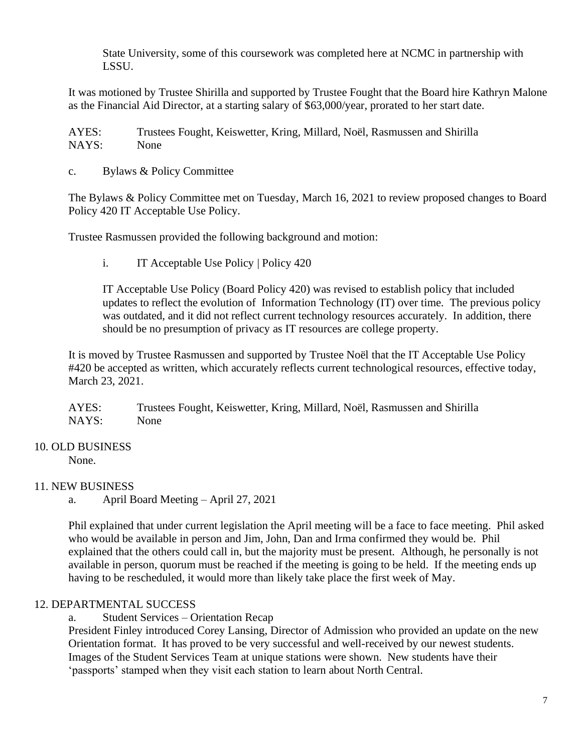State University, some of this coursework was completed here at NCMC in partnership with LSSU.

It was motioned by Trustee Shirilla and supported by Trustee Fought that the Board hire Kathryn Malone as the Financial Aid Director, at a starting salary of \$63,000/year, prorated to her start date.

AYES: Trustees Fought, Keiswetter, Kring, Millard, Noël, Rasmussen and Shirilla NAYS: None

c. Bylaws & Policy Committee

The Bylaws & Policy Committee met on Tuesday, March 16, 2021 to review proposed changes to Board Policy 420 IT Acceptable Use Policy.

Trustee Rasmussen provided the following background and motion:

i. IT Acceptable Use Policy | Policy 420

IT Acceptable Use Policy (Board Policy 420) was revised to establish policy that included updates to reflect the evolution of Information Technology (IT) over time. The previous policy was outdated, and it did not reflect current technology resources accurately. In addition, there should be no presumption of privacy as IT resources are college property.

It is moved by Trustee Rasmussen and supported by Trustee Noël that the IT Acceptable Use Policy #420 be accepted as written, which accurately reflects current technological resources, effective today, March 23, 2021.

AYES: Trustees Fought, Keiswetter, Kring, Millard, Noël, Rasmussen and Shirilla NAYS: None

10. OLD BUSINESS

None.

## 11. NEW BUSINESS

a. April Board Meeting – April 27, 2021

Phil explained that under current legislation the April meeting will be a face to face meeting. Phil asked who would be available in person and Jim, John, Dan and Irma confirmed they would be. Phil explained that the others could call in, but the majority must be present. Although, he personally is not available in person, quorum must be reached if the meeting is going to be held. If the meeting ends up having to be rescheduled, it would more than likely take place the first week of May.

## 12. DEPARTMENTAL SUCCESS

a. Student Services – Orientation Recap

President Finley introduced Corey Lansing, Director of Admission who provided an update on the new Orientation format. It has proved to be very successful and well-received by our newest students. Images of the Student Services Team at unique stations were shown. New students have their 'passports' stamped when they visit each station to learn about North Central.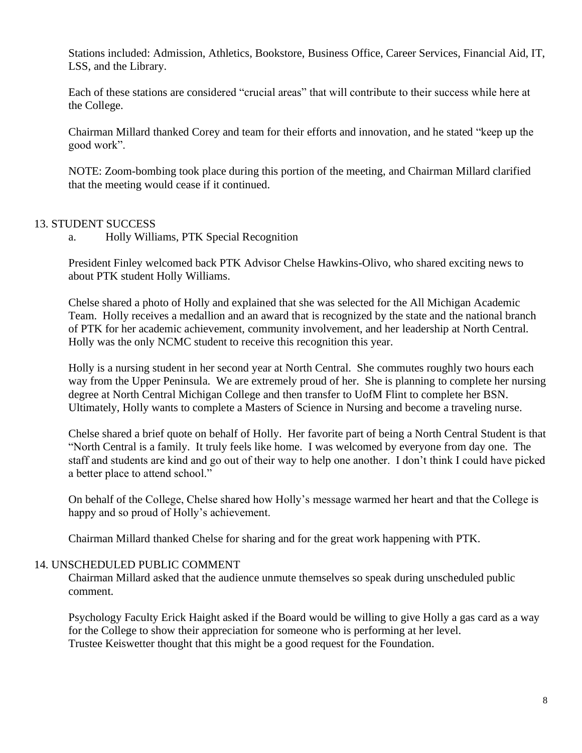Stations included: Admission, Athletics, Bookstore, Business Office, Career Services, Financial Aid, IT, LSS, and the Library.

Each of these stations are considered "crucial areas" that will contribute to their success while here at the College.

Chairman Millard thanked Corey and team for their efforts and innovation, and he stated "keep up the good work".

NOTE: Zoom-bombing took place during this portion of the meeting, and Chairman Millard clarified that the meeting would cease if it continued.

### 13. STUDENT SUCCESS

a. Holly Williams, PTK Special Recognition

President Finley welcomed back PTK Advisor Chelse Hawkins-Olivo, who shared exciting news to about PTK student Holly Williams.

Chelse shared a photo of Holly and explained that she was selected for the All Michigan Academic Team. Holly receives a medallion and an award that is recognized by the state and the national branch of PTK for her academic achievement, community involvement, and her leadership at North Central. Holly was the only NCMC student to receive this recognition this year.

Holly is a nursing student in her second year at North Central. She commutes roughly two hours each way from the Upper Peninsula. We are extremely proud of her. She is planning to complete her nursing degree at North Central Michigan College and then transfer to UofM Flint to complete her BSN. Ultimately, Holly wants to complete a Masters of Science in Nursing and become a traveling nurse.

Chelse shared a brief quote on behalf of Holly. Her favorite part of being a North Central Student is that "North Central is a family. It truly feels like home. I was welcomed by everyone from day one. The staff and students are kind and go out of their way to help one another. I don't think I could have picked a better place to attend school."

On behalf of the College, Chelse shared how Holly's message warmed her heart and that the College is happy and so proud of Holly's achievement.

Chairman Millard thanked Chelse for sharing and for the great work happening with PTK.

#### 14. UNSCHEDULED PUBLIC COMMENT

Chairman Millard asked that the audience unmute themselves so speak during unscheduled public comment.

Psychology Faculty Erick Haight asked if the Board would be willing to give Holly a gas card as a way for the College to show their appreciation for someone who is performing at her level. Trustee Keiswetter thought that this might be a good request for the Foundation.